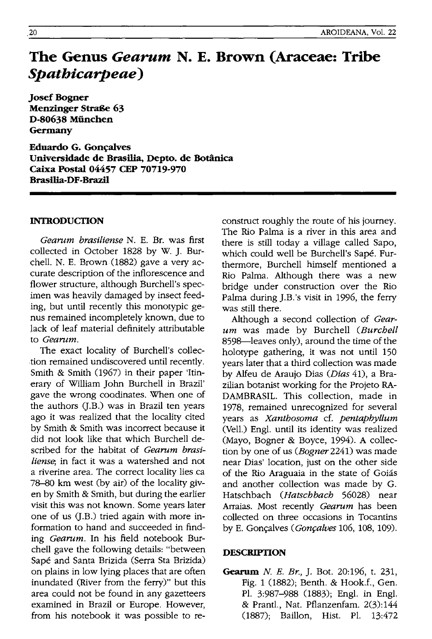# **The Genus** *Gearum* **N. E. Brown (Araceae: Tribe**  *Spathicarpeae)*

Josef Bogner Menzinger Straße 63 D-80638 Miinchen Germany

Eduardo G. Goncalves Universidade de Brasilia, Depto. de Botanica Caixa Postal 04457 CEP 70719-970 Brasilia-DF-Brazil

# INTRODUCTION

*Gearum brasiliense* N. E. Br. was first collected in October 1828 by W. J. Burchell. N. E. Brown (1882) gave a very accurate description of the inflorescence and flower structure, although Burchell's specimen was heavily damaged by insect feeding, but until recently this monotypic genus remained incompletely known, due to lack of leaf material definitely attrihutable to *Gearum.* 

The exact locality of Burchell's collection remained undiscovered until recently. Smith & Smith (1967) in their paper 'Itinerary of William John Burchell in Brazil' gave the wrong coodinates. When one of the authors (J.B.) was in Brazil ten years ago it was realized that the locality cited by Smith & Smith was incorrect because it did not look like that which Burchell described for the habitat of *Gearum brasiliense;* in fact it was a watershed and not a riverine area. The correct locality lies ca 78-80 km west (by air) of the locality given by Smith & Smith, but during the earlier visit this was not known. Some years later one of us (J.B.) tried again with more information to hand and succeeded in finding *Gearum.* In his field notebook Burchell gave the following details: "between Sape and Santa Brizida (Serra Sta Brizida) on plains in low lying places that are often inundated (River from the ferry)" but this area could not be found in any gazetteers examined in Brazil or Europe. However, from his notebook it was possible to reconstruct roughly the route of his journey. The Rio Palma is a river in this area and there is still today a village called Sapo, which could well be Burchell's Sape. Furthermore, Burchell himself mentioned a Rio Palma. Although there was a new bridge under construction over the Rio Palma during J.B.'s visit in 1996, the ferry was still there.

Although a second collection of *Gearum* was made by Burchell *(Burchell*  8598-leaves only), around the time of the holotype gathering, it was not until 150 years later that a third collection was made by Alfeu de Araujo Dias (Dias 41), a Brazilian botanist working for the Projeto RA-DAMBRASIL. This collection, made in 1978, remained unrecognized for several years as *Xanthosoma* cf. *pentaphyllum*  (VeIl.) Engi. until its identity was realized (Mayo, Bogner & Boyce, 1994). A collection by one of us *(Bogner* 2241) was made near Dias' location, just on the other side of the Rio Araguaia in the state of Goiás and another collection was made by G. Hatschbach *(Hatschbach* 56028) near Arraias. Most recently *Gearum* has been collected on three occasions in Tocantins by E. Gonçalves *(Gonçalves* 106, 108, 109).

#### **DESCRIPTION**

Gearum N. *E. Br.,* J. Bot. 20:196, t. 231, Fig. 1 (1882); Benth. & Hook.f., Gen. PI. 3:987-988 (1883); Engi. in Engi. & Prantl., Nat. Pflanzenfam. 2(3):144 (1887); Baillon, Hist. PI. 13:472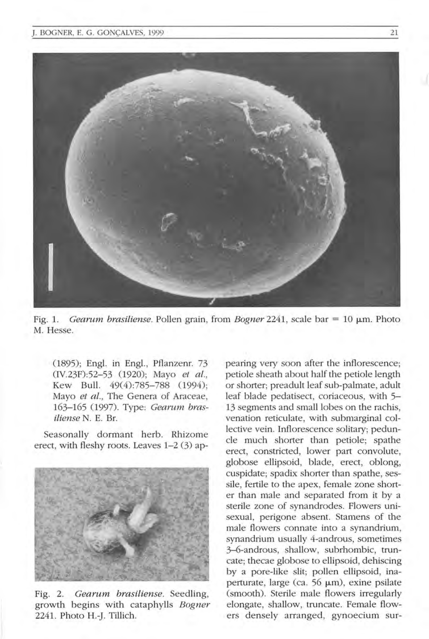

Fig. 1. *Gearum brasiliense.* Pollen grain, from *Bogner* 2241, scale bar = 10  $\mu$ m. Photo M. Hesse.

(1895); Engl. in Engl., Pflanzenr. 73 (IV.23F):52-53 (1920); Mayo *et al.*, Kew Bull. 49(4):785-788 (1994); Mayo et al., The Genera of Araceae, 163-165 (1997). Type: *Cearwn brasiliense* N. E. Bf.

Seasonally dormant herb. Rhizome erect, with fleshy roots. Leaves 1-2 (3) ap-



Fig. 2. *Cearum brasiliense.* Seedling, growth begins with cataphylls *Bogner*  2241. Photo H.-J. Tillich.

pearing very soon after the inflorescence; petiole sheath about half the petiole length or shorter; preadult leaf sub-palmate, adult leaf blade pedatisect, coriaceous, with 5- 13 segments and small lobes on the rachis, venation reticulate, with submarginal collective vein. Inflorescence solitary; peduncle much shorter than petiole; spathe erect, constricted, lower part convolute, globose ellipsoid, blade, erect, oblong, cuspidate; spadix shorter than spathe, sessile, fertile to the apex, female zone shorter than male and separated from it by a sterile zone of synandrodes. Flowers unisexual, perigone absent. Stamens of the male flowers connate into a synandrium, synandrium usually 4-androus, sometimes 3-6-androus, shallow, subrhombic, truncate; thecae globose to ellipsoid, dehiscing by a pore-like slit; pollen ellipsoid, inaperturate, large (ca.  $56 \mu m$ ), exine psilate (smooth). Sterile male flowers irregularly elongate, shallow, truncate. Female flowers densely arranged, gynoecium sur-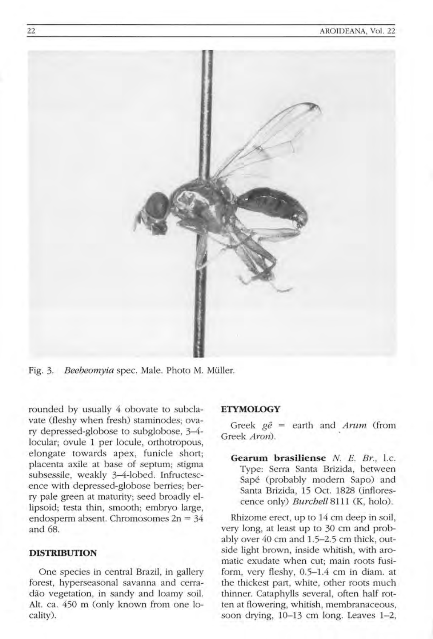

Fig. 3. *Beebeomyia* spec. Male. Photo M. Muller.

rounded by usually 4 obovate to subclavate (fleshy when fresh) staminodes; ovary depressed-globose to subglobose, 3-4 locular; ovule 1 per locule, orthotropous, elongate towards apex, funicle short; placenta axile at base of septum; stigma subsessile, weakly 3-4-lobed. Infructescence with depressed-globose berries; berry pale green at maturity; seed broadly ellipsoid; testa thin, smooth; embryo large, endosperm absent. Chromosomes  $2n = 34$ and 68.

# **DISTRIBUTION**

One species in central Brazil, in gallery forest, hyperseasonal savanna and cerradão vegetation, in sandy and loamy soil. Alt. ca. 450 m (only known from one locality).

## **ETYMOLOGY**

Greek ge = earth and *Arum* (from Greek *Aron).* 

**Gearum brasiliense** *N. E. Br., l.c.* Type: Serra Santa Brizida, between Sape (probably modern Sapo) and Santa Brizida, 15 Oct. 1828 (inflorescence only) *Burchell* 8111 (K, holo).

Rhizome erect, up to 14 cm deep in soil, very long, at least up to 30 cm and probably over 40 cm and 1.5-2.5 cm thick, outside light brown, inside whitish, with aromatic exudate when cut; main roots fusiform, very fleshy, 0.5-1.4 cm in diam. at the thickest part, white, other roots much thinner. Cataphylls several, often half rotten at flowering, whitish, membranaceous, soon drying, 10-13 cm long. Leaves 1-2,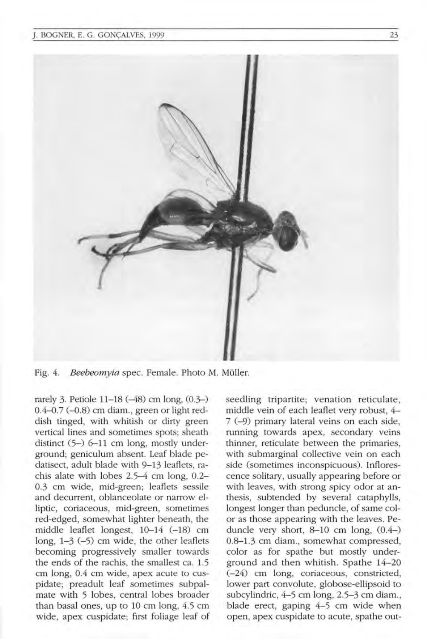

Fig. 4. *Beebeomyia* spec. Female. Photo M. Müller.

rarely 3. Petiole 11–18 (-48) cm long, (0.3-)  $0.4 - 0.7$  ( $-0.8$ ) cm diam., green or light reddish tinged, with whitish or dirty green vertical lines and sometimes spots; sheath distinct  $(5-)$  6-11 cm long, mostly underground; geniculum absent. Leaf blade pedatisect, adult blade with 9-13 leaflets, rachis alate with lobes  $2.5-4$  cm long,  $0.2-$ 0.3 cm wide, mid-green; leaflets sessile and decurrent, oblanceolate or narrow elliptic, coriaceous, mid-green, sometimes red-edged, somewhat lighter beneath, the middle leaflet longest, 10-14 (-18) cm long, 1-3 (-5) cm wide, the other leaflets becoming progressively smaller towards the ends of the rachis, the smallest ca. 1.5 cm long, 0.4 cm wide, apex acute to cuspidate; preadult leaf sometimes subpalmate with 5 lobes, central lobes broader than basal ones, up to 10 cm long, 4.5 cm wide, apex cuspidate; first foliage leaf of seedling tripartite; venation reticulate, middle vein of each leaflet very robust, 4-7 (-9) primary lateral veins on each side, running towards apex, secondary veins thinner, reticulate between the primaries, with submarginal collective vein on each side (sometimes inconspicuous). Inflorescence solitary, usually appearing before or with leaves, with strong spicy odor at anthesis, subtended by several cataphylls, longest longer than peduncle, of same color as those appearing with the leaves. Peduncle very short,  $8-10$  cm long,  $(0.4-)$ 0.8-1.3 cm diam., somewhat compressed, color as for spathe but mostly underground and then whitish. Spathe 14-20 (-24) cm long, coriaceous, constricted, lower part convolute, globose-ellipsoid to subcylindric, 4–5 cm long, 2.5–3 cm diam., blade erect, gaping  $4-5$  cm wide when open, apex cuspidate to acute, spathe out-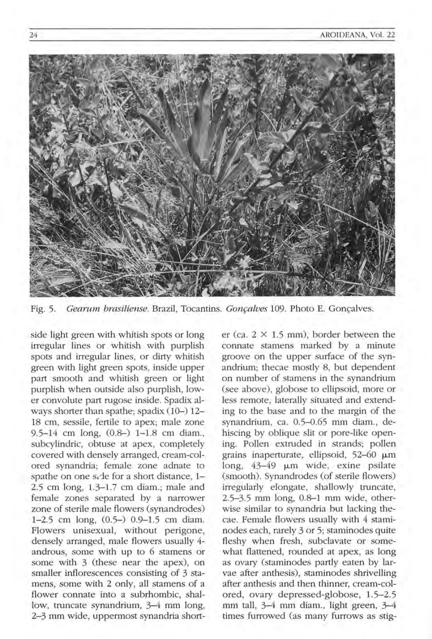

Fig. 5. *Gearum brasiliense*. Brazil, Tocantins. *Gonçalves* 109. Photo E. Goncalves.

side light green with whitish spots or long irregular lines or whitish with purplish spots and irregular lines, or dirty whitish green with light green spots, inside upper part smooth and whitish green or light purplish when outside also purplish, lower convolute part rugose inside . Spadix always shorter than spathe; spadix  $(10-)$  12-18 cm, sessile, fertile to apex; male zone 9.5-14 cm long, (0.8-) 1-1.8 cm diam., subcylindric, obtuse at apex, completely covered with densely arranged, cream-colored synandria; female zone adnate to spathe on one side for a short distance, 1-2.5 cm long, 1.3-1.7 cm diam.; male and female zones separated by a narrower zone of sterile male flowers (synandrodes)  $1-2.5$  cm long,  $(0.5-)$  0.9-1.5 cm diam. Flowers unisexual, without perigone, densely arranged, male flowers usually 4 androus, some with up to 6 stamens or some with 3 (these near the apex), on smaller inflorescences consisting of 3 stamens, some with 2 only, all stamens of a flower connate into a subrhombic, shallow, truncate synandrium, 3-4 mm long, 2-3 mm wide, uppermost synandria shorter (ca.  $2 \times 1.5$  mm), border between the connate stamens marked by a minute groove on the upper surface of the synandrium; thecae mostly 8, but dependent on number of stamens in the synandrium (see above), globose to ellipsoid, more or less remote, laterally situated and extending to the base and to the margin of the synandrium, ca. 0.5-0.65 mm diam., dehiscing by oblique slit or pore-like opening. Pollen extruded in strands; pollen grains inaperturate, ellipsoid,  $52-60 \mu m$ long,  $43-49$   $\mu$ m wide, exine psilate (smooth). Synandrodes (of sterile flowers) irregularly elongate, shallowly truncate, 2.5-3.5 mm long, 0.8-1 mm wide, otherwise similar to synandria but lacking thecae. Female flowers usually with 4 staminodes each, rarely 3 or 5; staminodes quite fleshy when fresh, subclavate or somewhat flattened, rounded at apex, as long as ovary (staminodes partly eaten by larvae after anthesis), staminodes shrivelling after anthesis and then thinner, cream-colored, ovary depressed-globose, 1.5-2.5 mm tall, 3-4 mm diam., light green, 3-4 times furrowed (as many furrows as stig-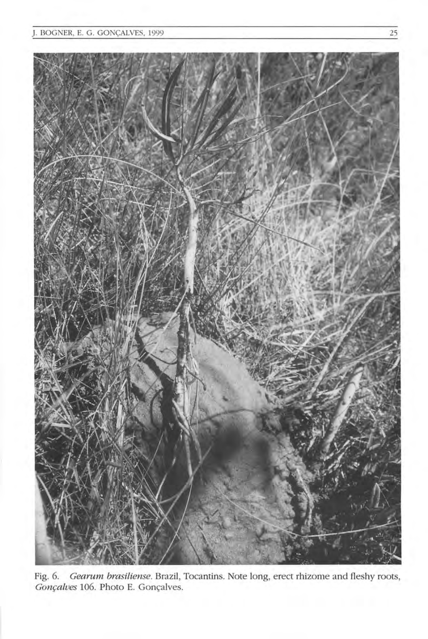

Fig. 6. *Gearum brasiliense.* Brazil, Tocantins. Note long, erect rhizome and fleshy roots, *Gonçalves* 106. Photo E. Gonçalves.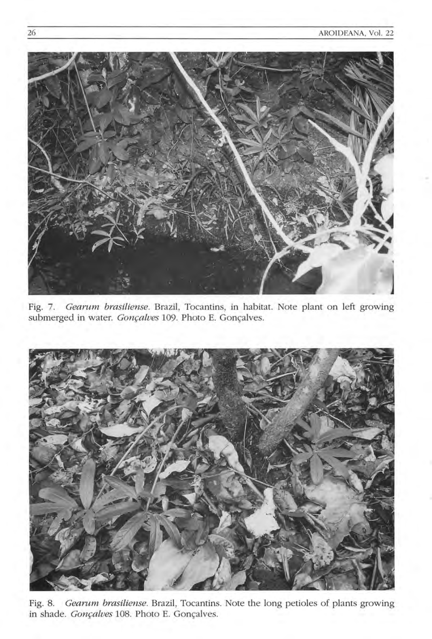

Fig. 7. *Gearum brasiliense.* Brazil, Tocantins, in habitat. Note plant on left growing submerged in water. *Gonçalves* 109. Photo E. Gonçalves.



Fig. 8. *Gearum brasiliense.* Brazil, Tocantins. Note the long petioles of plants growing in shade. *Gonçalves* 108. Photo E. Gonçalves.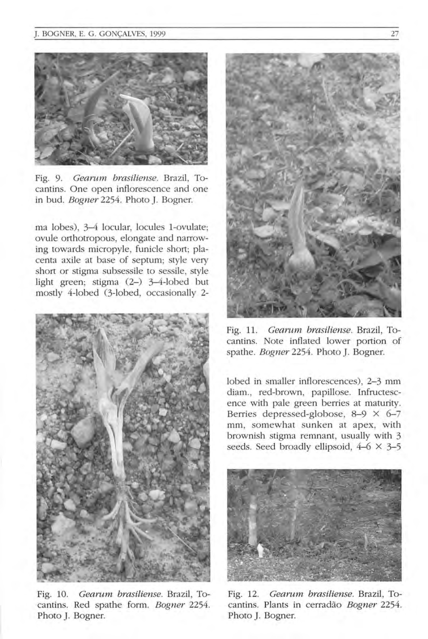

Fig. 9. *Gearum brasiliense.* Brazil, Tocantins. One open inflorescence and one in bud. *Bogner* 2254. Photo ]. Bogner.

ma lobes), 3-4 locular, locules I-ovulate; ovule orthotropous, elongate and narrowing towards micropyle, funicle short; placenta axile at base of septum; style very short or stigma subsessile to sessile, style light green; stigma  $(2-)$  3-4-lobed but mostly 4-lobed C3-lobed, occasionally 2-



Fig. 10. *Gearum brasiliense*. Brazil, Tocantins. Red spathe form. *Bogner 2254.*  Photo ]. Bogner.



Fig. 11. *Gearum brasiliense.* Brazil, Tocantins. Note inflated lower portion of spathe. *Bogner* 2254. Photo ]. Bogner.

lobed in smaller inflorescences), 2-3 mm diam., red-brown, papillose. Infructescence with pale green berries at maturity. Berries depressed-globose, 8-9  $\times$  6-7 mm, somewhat sunken at apex, with brownish stigma remnant, usually with 3 seeds. Seed broadly ellipsoid,  $4-6 \times 3-5$ 



Fig. 12. *Gearum brasiliense*. Brazil, Tocantins. Plants in cerradao *Bogner 2254.*  Photo ]. Bogner.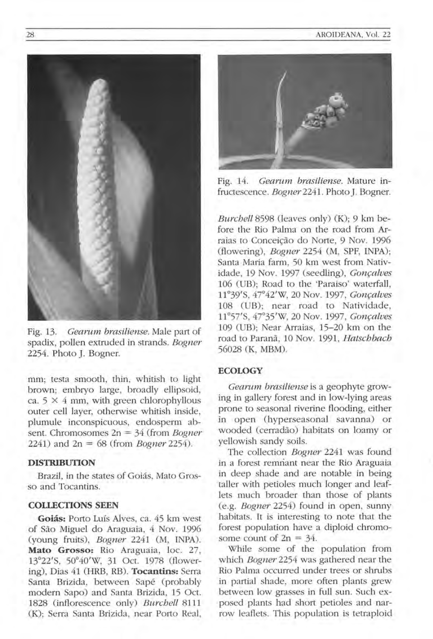

Fig. 13. *Gearurn brasiliense.* Male part of spadix, pollen extruded in strands. *Bogner*  2254. Photo J. Bogner.

mm; testa smooth, thin, whitish to light brown; embryo large, broadly ellipsoid, ca.  $5 \times 4$  mm, with green chlorophyllous outer cell layer, otherwise whitish inside, plumule inconspicuous, endosperm absent. Chromosomes 2n = 34 (from *Bogner*  2241) and 2n = 68 (from *Bogner 2254).* 

# **DISTRIBUTION**

Brazil, in the states of Goiás, Mato Grosso and Tocantins.

## **COLLECTIONS SEEN**

Goiás: Porto Luís Alves, ca. 45 km west of Sao Miguel do Araguaia, 4 Nov. 1996 (young fruits), *Bogner* 2241 (M, INPA). Mato Grosso: Rio Araguaia, loc. 27, 13°22'S, 50°40'W, 31 Oct. 1978 (flowering), Dias 41 (HRB, RB). **Tocantins:** Serra Santa Brizida, between Sapé (probably modern Sapo) and Santa Brizida, 15 Oct. 1828 (inflorescence only) *Burchell* 8111 (K); Serra Santa Brizida, near Porto Real,



Fig. 14. *Gearurn brasiliense.* Mature infructescence. *Bogner* 2241. Photo J. Bogner.

*Burchell* 8598 (leaves only) (K); 9 km before the Rio Palma on the road from Arraias to Conceição do Norte, 9 Nov. 1996 (flowering), *Bogner* 2254 (M, SPF, INPA); Santa Maria farm, 50 km west from Natividade, 19 Nov. 1997 (seedling), *Gonçalves* 106 (UB): Road to the 'Paraiso' waterfall. 11°39'S, 47°42 'W, 20 Nov. 1997, *Gonfalves*  108 (UB); near road to Natividade, 11°57'S, 47°35'W, 20 Nov. 1997, *Gonfalves*  109 (UB); Near Arraias, 15-20 km on the road to Parana, 10 Nov. 1991 , *Hatschbach*  56028 (K, MBM).

#### **ECOLOGY**

*Gearurn brasiliense* is a geophyte growing in gallery forest and in low-lying areas prone to seasonal riverine flooding, either in open (hyperseasonal savanna) or wooded (cerradao) habitats on loamy or yellowish sandy soils.

The collection *Bogner* 2241 was found in a forest remnant near the Rio Araguaia in deep shade and are notable in being taller with petioles much longer and leaflets much broader than those of plants (e.g. *Bogner* 2254) found in open, sunny habitats. It is interesting to note that the forest population have a diploid chromosome count of  $2n = 34$ .

While some of the population from which *Bogner* 2254 was gathered near the Rio Palma occurred under trees or shrubs in partial shade, more often plants grew between low grasses in full sun. Such exposed plants had short petioles and narrow leaflets. This population is tetraploid